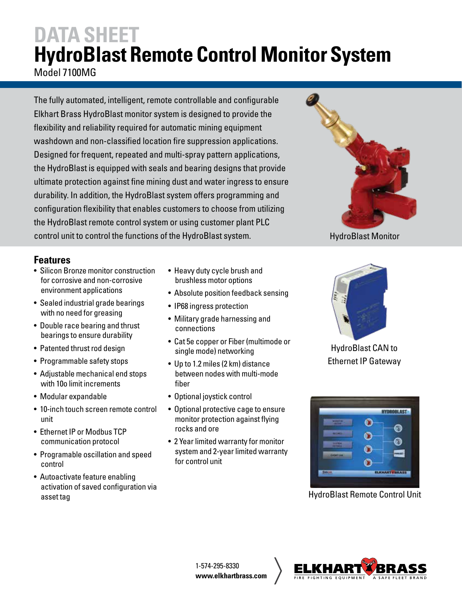### **DATA SHEET HydroBlast Remote Control Monitor System** Model 7100MG

The fully automated, intelligent, remote controllable and configurable Elkhart Brass HydroBlast monitor system is designed to provide the flexibility and reliability required for automatic mining equipment washdown and non-classified location fire suppression applications. Designed for frequent, repeated and multi-spray pattern applications, the HydroBlast is equipped with seals and bearing designs that provide ultimate protection against fine mining dust and water ingress to ensure durability. In addition, the HydroBlast system offers programming and configuration flexibility that enables customers to choose from utilizing the HydroBlast remote control system or using customer plant PLC control unit to control the functions of the HydroBlast system.



- Silicon Bronze monitor construction for corrosive and non-corrosive environment applications
- Sealed industrial grade bearings with no need for greasing
- Double race bearing and thrust bearings to ensure durability
- Patented thrust rod design
- Programmable safety stops
- Adjustable mechanical end stops with 10o limit increments
- Modular expandable
- 10-inch touch screen remote control unit
- Ethernet IP or Modbus TCP communication protocol
- Programable oscillation and speed control
- Autoactivate feature enabling activation of saved configuration via asset tag
- Heavy duty cycle brush and brushless motor options
- Absolute position feedback sensing
- IP68 ingress protection
- Military grade harnessing and connections
- Cat 5e copper or Fiber (multimode or single mode) networking
- Up to 1.2 miles (2 km) distance between nodes with multi-mode fiber
- Optional joystick control
- Optional protective cage to ensure monitor protection against flying rocks and ore
- 2 Year limited warranty for monitor system and 2-year limited warranty for control unit



HydroBlast Monitor



HydroBlast CAN to Ethernet IP Gateway



HydroBlast Remote Control Unit

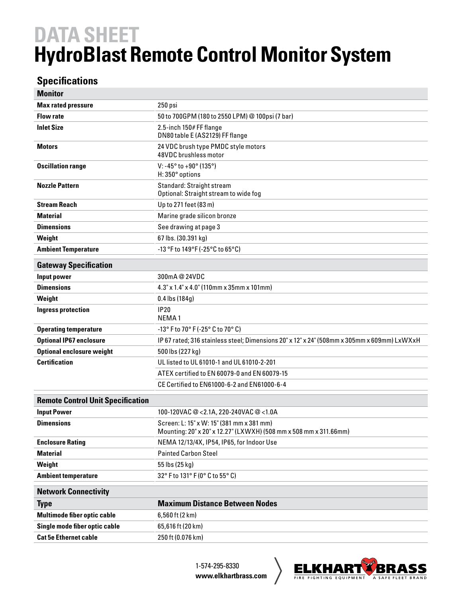## **DATA SHEET HydroBlast Remote Control Monitor System**

#### **Specifications**

| <b>Monitor</b>                           |                                                                                                                |
|------------------------------------------|----------------------------------------------------------------------------------------------------------------|
| <b>Max rated pressure</b>                | 250 psi                                                                                                        |
| <b>Flow rate</b>                         | 50 to 700GPM (180 to 2550 LPM) @ 100psi (7 bar)                                                                |
| <b>Inlet Size</b>                        | 2.5-inch 150# FF flange<br>DN80 table E (AS2129) FF flange                                                     |
| <b>Motors</b>                            | 24 VDC brush type PMDC style motors<br>48VDC brushless motor                                                   |
| <b>Oscillation range</b>                 | V: -45 $^{\circ}$ to +90 $^{\circ}$ (135 $^{\circ}$ )<br>H: 350° options                                       |
| <b>Nozzle Pattern</b>                    | Standard: Straight stream<br>Optional: Straight stream to wide fog                                             |
| <b>Stream Reach</b>                      | Up to 271 feet (83 m)                                                                                          |
| <b>Material</b>                          | Marine grade silicon bronze                                                                                    |
| <b>Dimensions</b>                        | See drawing at page 3                                                                                          |
| Weight                                   | 67 lbs. (30.391 kg)                                                                                            |
| <b>Ambient Temperature</b>               | -13 °F to 149°F (-25°C to 65°C)                                                                                |
| <b>Gateway Specification</b>             |                                                                                                                |
| Input power                              | 300mA@24VDC                                                                                                    |
| <b>Dimensions</b>                        | 4.3" x 1.4" x 4.0" (110mm x 35mm x 101mm)                                                                      |
| Weight                                   | $0.4$ lbs $(184g)$                                                                                             |
| <b>Ingress protection</b>                | <b>IP20</b><br>NEMA <sub>1</sub>                                                                               |
| <b>Operating temperature</b>             | $-13^{\circ}$ F to 70 $^{\circ}$ F (-25 $^{\circ}$ C to 70 $^{\circ}$ C)                                       |
| <b>Optional IP67 enclosure</b>           | IP 67 rated; 316 stainless steel; Dimensions 20" x 12" x 24" (508mm x 305mm x 609mm) LxWXxH                    |
| <b>Optional enclosure weight</b>         | 500 lbs (227 kg)                                                                                               |
| <b>Certification</b>                     | UL listed to UL 61010-1 and UL 61010-2-201                                                                     |
|                                          | ATEX certified to EN 60079-0 and EN 60079-15                                                                   |
|                                          | CE Certified to EN61000-6-2 and EN61000-6-4                                                                    |
| <b>Remote Control Unit Specification</b> |                                                                                                                |
| <b>Input Power</b>                       | 100-120VAC @ < 2.1A, 220-240VAC @ < 1.0A                                                                       |
| <b>Dimensions</b>                        | Screen: L: 15" x W: 15" (381 mm x 381 mm)<br>Mounting: 20" x 20" x 12.27" (LXWXH) (508 mm x 508 mm x 311.66mm) |
| <b>Enclosure Rating</b>                  | NEMA 12/13/4X, IP54, IP65, for Indoor Use                                                                      |
| <b>Material</b>                          | <b>Painted Carbon Steel</b>                                                                                    |
| Weight                                   | 55 lbs (25 kg)                                                                                                 |
| <b>Ambient temperature</b>               | 32° F to 131° F (0° C to 55° C)                                                                                |
| <b>Network Connectivity</b>              |                                                                                                                |
| <b>Type</b>                              | <b>Maximum Distance Between Nodes</b>                                                                          |
| Multimode fiber optic cable              | 6,560 ft (2 km)                                                                                                |
| Single mode fiber optic cable            | 65,616 ft (20 km)                                                                                              |
| <b>Cat 5e Ethernet cable</b>             | 250 ft (0.076 km)                                                                                              |

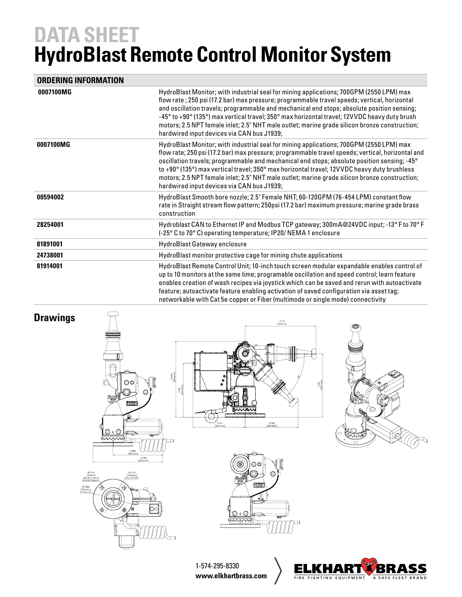## **DATA SHEET HydroBlast Remote Control Monitor System**

#### **ORDERING INFORMATION**

| 0007100MG | HydroBlast Monitor; with industrial seal for mining applications; 700GPM (2550 LPM) max<br>flow rate; 250 psi (17.2 bar) max pressure; programmable travel speeds; vertical, horizontal<br>and oscillation travels; programmable and mechanical end stops; absolute position sensing;<br>-45° to +90° (135°) max vertical travel; 350° max horizontal travel; 12VVDC heavy duty brush<br>motors; 2.5 NPT female inlet; 2.5" NHT male outlet; marine grade silicon bronze construction;<br>hardwired input devices via CAN bus J1939;                                    |
|-----------|-------------------------------------------------------------------------------------------------------------------------------------------------------------------------------------------------------------------------------------------------------------------------------------------------------------------------------------------------------------------------------------------------------------------------------------------------------------------------------------------------------------------------------------------------------------------------|
| 0007100MG | HydroBlast Monitor; with industrial seal for mining applications; 700GPM (2550 LPM) max<br>flow rate; 250 psi (17.2 bar) max pressure; programmable travel speeds; vertical, horizontal and<br>oscillation travels; programmable and mechanical end stops; absolute position sensing; -45°<br>to +90 $^{\circ}$ (135 $^{\circ}$ ) max vertical travel; 350 $^{\circ}$ max horizontal travel; 12VVDC heavy duty brushless<br>motors; 2.5 NPT female inlet; 2.5" NHT male outlet; marine grade silicon bronze construction;<br>hardwired input devices via CAN bus J1939; |
| 00594002  | HydroBlast Smooth bore nozzle; 2.5" Female NHT; 60-120GPM (76-454 LPM) constant flow<br>rate in Straight stream flow pattern; 250psi (17.2 bar) maximum pressure; marine grade brass<br>construction                                                                                                                                                                                                                                                                                                                                                                    |
| 28254001  | Hydroblast CAN to Ethernet IP and Modbus TCP gateway; 300mA@24VDC input; -13° F to 70° F<br>(-25° C to 70° C) operating temperature; IP20/ NEMA 1 enclosure                                                                                                                                                                                                                                                                                                                                                                                                             |
| 81891001  | HydroBlast Gateway enclosure                                                                                                                                                                                                                                                                                                                                                                                                                                                                                                                                            |
| 24738001  | HydroBlast monitor protective cage for mining chute applications                                                                                                                                                                                                                                                                                                                                                                                                                                                                                                        |
| 81914001  | HydroBlast Remote Control Unit; 10-inch touch screen modular expandable enables control of<br>up to 10 monitors at the same time; programable oscillation and speed control; learn feature<br>enables creation of wash recipes via joystick which can be saved and rerun with autoactivate<br>feature; autoactivate feature enabling activation of saved configuration via asset tag;<br>networkable with Cat 5e copper or Fiber (multimode or single mode) connectivity                                                                                                |



1-574-295-8330 **www.elkhartbrass.com**